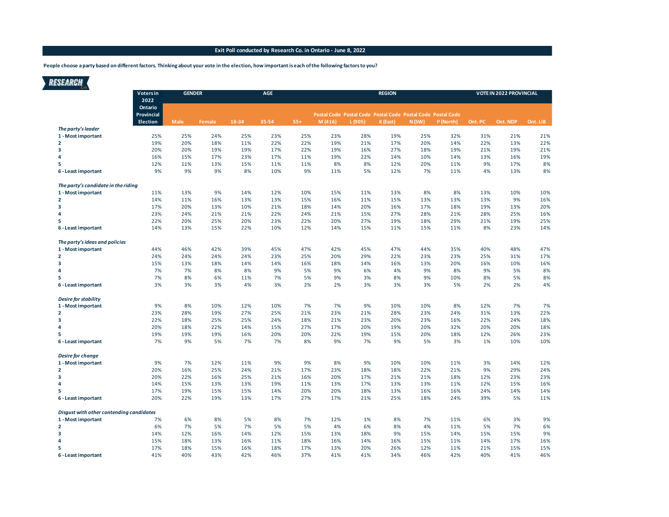## **Exit Poll conducted by Research Co. in Ontario - June 8, 2022**

**People choose a party based on different factors. Thinking about your vote in the election, how important is each of the following factors to you?**

| <b>RESEARCH</b>                          |                               |               |        |       |            |       |                                                                       |         |               |       |           |         |                                |          |
|------------------------------------------|-------------------------------|---------------|--------|-------|------------|-------|-----------------------------------------------------------------------|---------|---------------|-------|-----------|---------|--------------------------------|----------|
|                                          | Voters in<br>2022             | <b>GENDER</b> |        |       | <b>AGE</b> |       |                                                                       |         | <b>REGION</b> |       |           |         | <b>VOTE IN 2022 PROVINCIAL</b> |          |
|                                          | Ontario                       |               |        |       |            |       |                                                                       |         |               |       |           |         |                                |          |
|                                          | Provincial<br><b>Election</b> | <b>Male</b>   | Female | 18-34 | 35-54      | $55+$ | Postal Code Postal Code Postal Code Postal Code Postal Code<br>M(416) | L (905) | K (East)      | N(SW) | P (North) | Ont. PC | Ont. NDP                       | Ont. LIB |
| The party's leader                       |                               |               |        |       |            |       |                                                                       |         |               |       |           |         |                                |          |
| 1 - Most important                       | 25%                           | 25%           | 24%    | 25%   | 23%        | 25%   | 23%                                                                   | 28%     | 19%           | 25%   | 32%       | 31%     | 21%                            | 21%      |
| $\overline{2}$                           | 19%                           | 20%           | 18%    | 11%   | 22%        | 22%   | 19%                                                                   | 21%     | 17%           | 20%   | 14%       | 22%     | 13%                            | 22%      |
| 3                                        | 20%                           | 20%           | 19%    | 19%   | 17%        | 22%   | 19%                                                                   | 16%     | 27%           | 18%   | 19%       | 21%     | 19%                            | 21%      |
| 4                                        | 16%                           | 15%           | 17%    | 23%   | 17%        | 11%   | 19%                                                                   | 22%     | 14%           | 10%   | 14%       | 13%     | 16%                            | 19%      |
| 5                                        | 12%                           | 11%           | 13%    | 15%   | 11%        | 11%   | 8%                                                                    | 8%      | 12%           | 20%   | 11%       | 9%      | 17%                            | 8%       |
| 6 - Least important                      | 9%                            | 9%            | 9%     | 8%    | 10%        | 9%    | 11%                                                                   | 5%      | 12%           | 7%    | 11%       | 4%      | 13%                            | 8%       |
| The party's candidate in the riding      |                               |               |        |       |            |       |                                                                       |         |               |       |           |         |                                |          |
| 1 - Most important                       | 11%                           | 13%           | 9%     | 14%   | 12%        | 10%   | 15%                                                                   | 11%     | 13%           | 8%    | 8%        | 13%     | 10%                            | 10%      |
| $\overline{2}$                           | 14%                           | 11%           | 16%    | 13%   | 13%        | 15%   | 16%                                                                   | 11%     | 15%           | 13%   | 13%       | 13%     | 9%                             | 16%      |
| 3                                        | 17%                           | 20%           | 13%    | 10%   | 21%        | 18%   | 14%                                                                   | 20%     | 16%           | 17%   | 18%       | 19%     | 13%                            | 20%      |
| 4                                        | 23%                           | 24%           | 21%    | 21%   | 22%        | 24%   | 21%                                                                   | 15%     | 27%           | 28%   | 21%       | 28%     | 25%                            | 16%      |
| 5                                        | 22%                           | 20%           | 25%    | 20%   | 23%        | 22%   | 20%                                                                   | 27%     | 19%           | 18%   | 29%       | 21%     | 19%                            | 25%      |
| 6 - Least important                      | 14%                           | 13%           | 15%    | 22%   | 10%        | 12%   | 14%                                                                   | 15%     | 11%           | 15%   | 11%       | 8%      | 23%                            | 14%      |
| The party's ideas and policies           |                               |               |        |       |            |       |                                                                       |         |               |       |           |         |                                |          |
| 1 - Most important                       | 44%                           | 46%           | 42%    | 39%   | 45%        | 47%   | 42%                                                                   | 45%     | 47%           | 44%   | 35%       | 40%     | 48%                            | 47%      |
| $\overline{2}$                           | 24%                           | 24%           | 24%    | 24%   | 23%        | 25%   | 20%                                                                   | 29%     | 22%           | 23%   | 23%       | 25%     | 31%                            | 17%      |
| $\overline{\mathbf{3}}$                  | 15%                           | 13%           | 18%    | 14%   | 14%        | 16%   | 18%                                                                   | 14%     | 16%           | 13%   | 20%       | 16%     | 10%                            | 16%      |
| 4                                        | 7%                            | 7%            | 8%     | 8%    | 9%         | 5%    | 9%                                                                    | 6%      | 4%            | 9%    | 8%        | 9%      | 5%                             | 8%       |
| 5                                        | 7%                            | 8%            | 6%     | 11%   | 7%         | 5%    | 9%                                                                    | 3%      | 8%            | 9%    | 10%       | 8%      | 5%                             | 8%       |
| 6 - Least important                      | 3%                            | 3%            | 3%     | 4%    | 3%         | 2%    | 2%                                                                    | 3%      | 3%            | 3%    | 5%        | 2%      | 2%                             | 4%       |
| <b>Desire for stability</b>              |                               |               |        |       |            |       |                                                                       |         |               |       |           |         |                                |          |
| 1 - Most important                       | 9%                            | 8%            | 10%    | 12%   | 10%        | 7%    | 7%                                                                    | 9%      | 10%           | 10%   | 8%        | 12%     | 7%                             | 7%       |
| $\overline{2}$                           | 23%                           | 28%           | 19%    | 27%   | 25%        | 21%   | 23%                                                                   | 21%     | 28%           | 23%   | 24%       | 31%     | 13%                            | 22%      |
| 3                                        | 22%                           | 18%           | 25%    | 25%   | 24%        | 18%   | 21%                                                                   | 23%     | 20%           | 23%   | 16%       | 22%     | 24%                            | 18%      |
| 4                                        | 20%                           | 18%           | 22%    | 14%   | 15%        | 27%   | 17%                                                                   | 20%     | 19%           | 20%   | 32%       | 20%     | 20%                            | 18%      |
| 5                                        | 19%                           | 19%           | 19%    | 16%   | 20%        | 20%   | 22%                                                                   | 19%     | 15%           | 20%   | 18%       | 12%     | 26%                            | 23%      |
| 6 - Least important                      | 7%                            | 9%            | 5%     | 7%    | 7%         | 8%    | 9%                                                                    | 7%      | 9%            | 5%    | 3%        | 1%      | 10%                            | 10%      |
| Desire for change                        |                               |               |        |       |            |       |                                                                       |         |               |       |           |         |                                |          |
| 1 - Most important                       | 9%                            | 7%            | 12%    | 11%   | 9%         | 9%    | 8%                                                                    | 9%      | 10%           | 10%   | 11%       | 3%      | 14%                            | 12%      |
| $\overline{2}$                           | 20%                           | 16%           | 25%    | 24%   | 21%        | 17%   | 23%                                                                   | 18%     | 18%           | 22%   | 21%       | 9%      | 29%                            | 24%      |
| 3                                        | 20%                           | 22%           | 16%    | 25%   | 21%        | 16%   | 20%                                                                   | 17%     | 21%           | 21%   | 18%       | 12%     | 23%                            | 23%      |
| 4                                        | 14%                           | 15%           | 13%    | 13%   | 19%        | 11%   | 13%                                                                   | 17%     | 13%           | 13%   | 11%       | 12%     | 15%                            | 16%      |
| 5                                        | 17%                           | 19%           | 15%    | 15%   | 14%        | 20%   | 20%                                                                   | 18%     | 13%           | 16%   | 16%       | 24%     | 14%                            | 14%      |
| 6 - Least important                      | 20%                           | 22%           | 19%    | 13%   | 17%        | 27%   | 17%                                                                   | 21%     | 25%           | 18%   | 24%       | 39%     | 5%                             | 11%      |
|                                          |                               |               |        |       |            |       |                                                                       |         |               |       |           |         |                                |          |
| Disgust with other contending candidates |                               |               |        |       |            |       |                                                                       |         |               |       |           |         |                                |          |
| 1 - Most important                       | 7%                            | 6%            | 8%     | 5%    | 8%         | 7%    | 12%                                                                   | 1%      | 8%            | 7%    | 11%       | 6%      | 3%                             | 9%       |
| $\overline{2}$                           | 6%                            | 7%            | 5%     | 7%    | 5%         | 5%    | 4%                                                                    | 6%      | 8%            | 4%    | 11%       | 5%      | 7%                             | 6%       |
| 3                                        | 14%                           | 12%           | 16%    | 14%   | 12%        | 15%   | 13%                                                                   | 18%     | 9%            | 15%   | 14%       | 15%     | 15%                            | 9%       |
| 4                                        | 15%                           | 18%           | 13%    | 16%   | 11%        | 18%   | 16%                                                                   | 14%     | 16%           | 15%   | 11%       | 14%     | 17%                            | 16%      |
| 5                                        | 17%                           | 18%           | 15%    | 16%   | 18%        | 17%   | 13%                                                                   | 20%     | 26%           | 12%   | 11%       | 21%     | 15%                            | 15%      |
| 6 - Least important                      | 41%                           | 40%           | 43%    | 42%   | 46%        | 37%   | 41%                                                                   | 41%     | 34%           | 46%   | 42%       | 40%     | 41%                            | 46%      |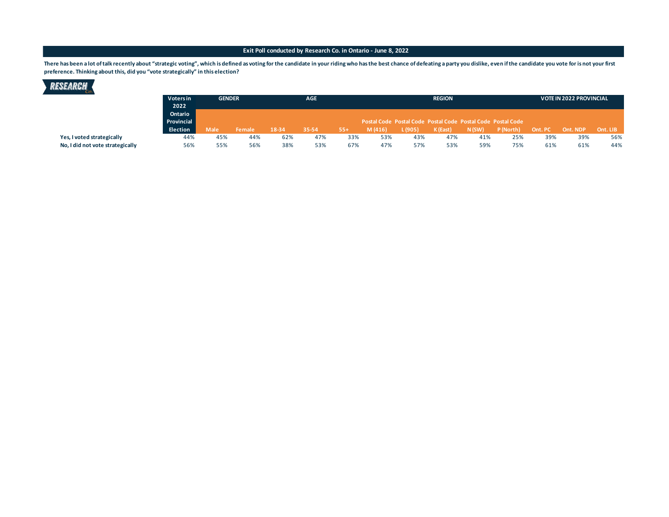## **Exit Poll conducted by Research Co. in Ontario - June 8, 2022**

There has been a lot of talk recently about "strategic voting", which is defined as voting for the candidate in your riding who has the best chance of defeating a party you dislike, even if the candidate you vote for is no **preference. Thinking about this, did you "vote strategically" in this election?**



| vv.                              |                 |                                                             |        |       |            |       |          |               |          |       |           |         |          |                                |  |  |
|----------------------------------|-----------------|-------------------------------------------------------------|--------|-------|------------|-------|----------|---------------|----------|-------|-----------|---------|----------|--------------------------------|--|--|
|                                  | Voters in       | <b>GENDER</b>                                               |        |       | <b>AGE</b> |       |          | <b>REGION</b> |          |       |           |         |          | <b>VOTE IN 2022 PROVINCIAL</b> |  |  |
|                                  | 2022            |                                                             |        |       |            |       |          |               |          |       |           |         |          |                                |  |  |
|                                  | Ontario         |                                                             |        |       |            |       |          |               |          |       |           |         |          |                                |  |  |
|                                  | Provincial      | Postal Code Postal Code Postal Code Postal Code Postal Code |        |       |            |       |          |               |          |       |           |         |          |                                |  |  |
|                                  | <b>Election</b> | <b>Male</b>                                                 | Female | 18-34 | 35-54      | $55+$ | (M(416)) | (905)         | K (East) | N(SW) | P (North) | Ont. PC | Ont. NDP | Ont. LIB                       |  |  |
| Yes, I voted strategically       | 44%             | 45%                                                         | 44%    | 62%   | 47%        | 33%   | 53%      | 43%           | 47%      | 41%   | 25%       | 39%     | 39%      | 56%                            |  |  |
| No, I did not vote strategically | 56%             | 55%                                                         | 56%    | 38%   | 53%        | 67%   | 47%      | 57%           | 53%      | 59%   | 75%       | 61%     | 61%      | 44%                            |  |  |